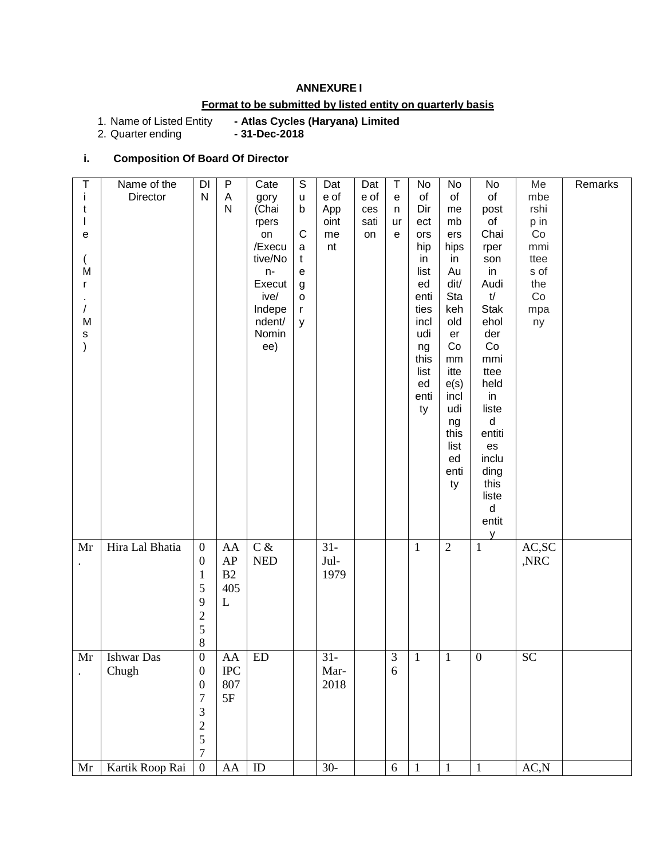#### **ANNEXURE I**

## **Format to be submitted by listed entity on quarterly basis**

# - Atlas Cycles (Haryana) Limited<br>- 31-Dec-2018

1. Name of Listed Entity<br>2. Quarter ending

## **i. Composition Of Board Of Director**

| Т                    | Name of the       | $\mathsf{D}\mathsf{I}$ | P                 | Cate                        | $\mathsf S$    | Dat    | Dat  | Τ              | No           | No             | No               | Me        | Remarks |
|----------------------|-------------------|------------------------|-------------------|-----------------------------|----------------|--------|------|----------------|--------------|----------------|------------------|-----------|---------|
| Ť                    | Director          | ${\sf N}$              | Α                 | gory                        | u              | e of   | e of | e              | of           | of             | $\circ f$        | mbe       |         |
| t                    |                   |                        | N                 | (Chai                       | b              | App    | ces  | n              | Dir          | me             | post             | rshi      |         |
|                      |                   |                        |                   | rpers                       |                | oint   | sati | ur             | ect          | mb             | of               | p in      |         |
| e                    |                   |                        |                   | on                          | C              | me     | on   | $\mathbf e$    | ors          | ers            | Chai             | Co        |         |
|                      |                   |                        |                   | /Execu                      | a              | nt     |      |                | hip          | hips           | rper             | mmi       |         |
|                      |                   |                        |                   | tive/No                     | t              |        |      |                | in           | in             | son              | ttee      |         |
| M                    |                   |                        |                   | $n-$                        | е              |        |      |                | list         | Au             | in               | s of      |         |
| $\mathsf{r}$         |                   |                        |                   | Execut                      | g              |        |      |                | ed           | dit/           | Audi             | the       |         |
|                      |                   |                        |                   | ive/                        | $\mathsf{o}\,$ |        |      |                | enti         | Sta            | t/               | Co        |         |
| $\prime$             |                   |                        |                   | Indepe                      | r              |        |      |                | ties         | keh            | <b>Stak</b>      | mpa       |         |
| M                    |                   |                        |                   | ndent/                      | У              |        |      |                | incl         | old            | ehol             | ny        |         |
| s                    |                   |                        |                   | Nomin                       |                |        |      |                | udi          | er             | der              |           |         |
| $\mathcal{C}$        |                   |                        |                   | ee)                         |                |        |      |                | ng           | Co             | Co               |           |         |
|                      |                   |                        |                   |                             |                |        |      |                | this         | mm             | mmi              |           |         |
|                      |                   |                        |                   |                             |                |        |      |                | list         | itte           | ttee             |           |         |
|                      |                   |                        |                   |                             |                |        |      |                | ed           | e(s)           | held             |           |         |
|                      |                   |                        |                   |                             |                |        |      |                | enti         | incl           | in               |           |         |
|                      |                   |                        |                   |                             |                |        |      |                | ty           | udi            | liste            |           |         |
|                      |                   |                        |                   |                             |                |        |      |                |              | ng             | $\sf d$          |           |         |
|                      |                   |                        |                   |                             |                |        |      |                |              | this           | entiti           |           |         |
|                      |                   |                        |                   |                             |                |        |      |                |              | list<br>ed     | es<br>inclu      |           |         |
|                      |                   |                        |                   |                             |                |        |      |                |              | enti           | ding             |           |         |
|                      |                   |                        |                   |                             |                |        |      |                |              | ty             | this             |           |         |
|                      |                   |                        |                   |                             |                |        |      |                |              |                | liste            |           |         |
|                      |                   |                        |                   |                             |                |        |      |                |              |                | d                |           |         |
|                      |                   |                        |                   |                             |                |        |      |                |              |                | entit            |           |         |
|                      |                   |                        |                   |                             |                |        |      |                |              |                | y                |           |         |
| Mr                   | Hira Lal Bhatia   | $\boldsymbol{0}$       | AA                | $C\,\&$                     |                | $31 -$ |      |                | $\,1$        | $\overline{2}$ | $\,1\,$          | AC, SC    |         |
| $\bullet$            |                   | $\boldsymbol{0}$       | AP                | $\ensuremath{\mathsf{NED}}$ |                | Jul-   |      |                |              |                |                  | ,NRC      |         |
|                      |                   | $\mathbf{1}$           | B2                |                             |                | 1979   |      |                |              |                |                  |           |         |
|                      |                   | 5                      | 405               |                             |                |        |      |                |              |                |                  |           |         |
|                      |                   | 9                      | L                 |                             |                |        |      |                |              |                |                  |           |         |
|                      |                   | $\sqrt{2}$             |                   |                             |                |        |      |                |              |                |                  |           |         |
|                      |                   | 5                      |                   |                             |                |        |      |                |              |                |                  |           |         |
|                      |                   |                        |                   |                             |                |        |      |                |              |                |                  |           |         |
|                      |                   | $\,8\,$                |                   |                             |                |        |      |                |              |                |                  |           |         |
| Mr                   | <b>Ishwar</b> Das | $\mathbf{0}$           | AA                | ED                          |                | $31 -$ |      | $\mathfrak{Z}$ | $\mathbf{1}$ | $\overline{1}$ | $\boldsymbol{0}$ | <b>SC</b> |         |
| $\ddot{\phantom{0}}$ | Chugh             | $\boldsymbol{0}$       | $_{\mathrm{IPC}}$ |                             |                | Mar-   |      | 6              |              |                |                  |           |         |
|                      |                   | $\boldsymbol{0}$       | 807               |                             |                | 2018   |      |                |              |                |                  |           |         |
|                      |                   | $\overline{7}$         | 5F                |                             |                |        |      |                |              |                |                  |           |         |
|                      |                   | 3                      |                   |                             |                |        |      |                |              |                |                  |           |         |
|                      |                   | $\overline{c}$         |                   |                             |                |        |      |                |              |                |                  |           |         |
|                      |                   | 5                      |                   |                             |                |        |      |                |              |                |                  |           |         |
|                      |                   | $\boldsymbol{7}$       |                   |                             |                |        |      |                |              |                |                  |           |         |
| Mr                   | Kartik Roop Rai   | $\boldsymbol{0}$       | AA                | ID                          |                | $30-$  |      | $\sqrt{6}$     | $\,1\,$      | $\,1\,$        | $\,1\,$          | AC,N      |         |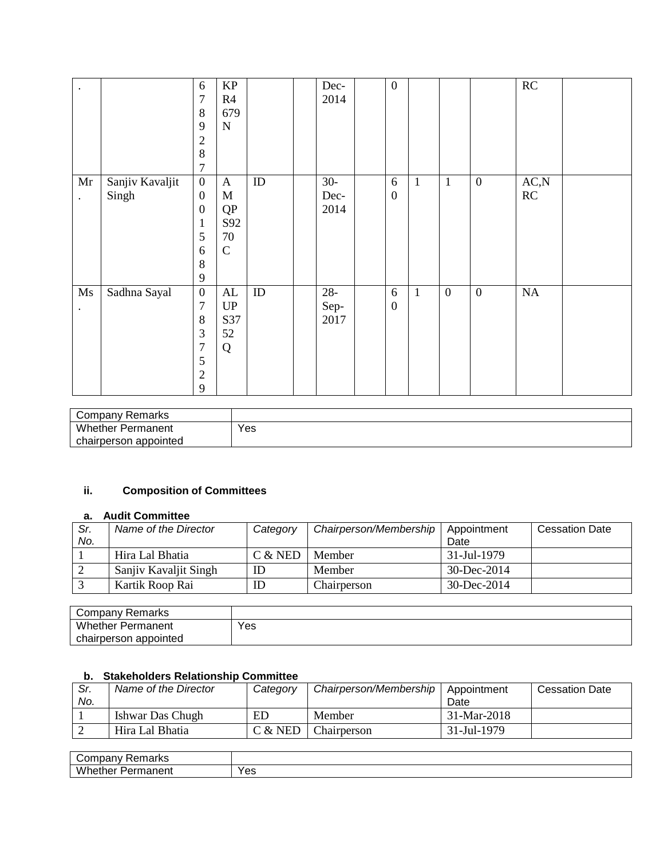| $\bullet$                           |                          | 6<br>$\overline{7}$<br>8<br>9<br>$\overline{2}$<br>8<br>$\overline{7}$                       | KP<br>R4<br>679<br>$\mathbf N$                                 |    | Dec-<br>2014           | $\boldsymbol{0}$      |              |                  |                  | RC         |  |
|-------------------------------------|--------------------------|----------------------------------------------------------------------------------------------|----------------------------------------------------------------|----|------------------------|-----------------------|--------------|------------------|------------------|------------|--|
| Mr<br>$\bullet$                     | Sanjiv Kavaljit<br>Singh | $\boldsymbol{0}$<br>$\boldsymbol{0}$<br>$\boldsymbol{0}$<br>$\mathbf{1}$<br>5<br>6<br>8<br>9 | $\mathbf{A}$<br>$\mathbf M$<br>QP<br>S92<br>70<br>$\mathsf{C}$ | ID | $30-$<br>Dec-<br>2014  | 6<br>$\boldsymbol{0}$ | $\mathbf{1}$ | $\mathbf{1}$     | $\boldsymbol{0}$ | AC,N<br>RC |  |
| $\mathbf{M}\mathbf{s}$<br>$\bullet$ | Sadhna Sayal             | $\boldsymbol{0}$<br>$\overline{7}$<br>8<br>3<br>$\overline{7}$<br>5<br>$\overline{2}$<br>9   | AL<br>$\mathbf{U}\mathbf{P}$<br>S37<br>52<br>Q                 | ID | $28 -$<br>Sep-<br>2017 | 6<br>$\boldsymbol{0}$ | $\mathbf{1}$ | $\boldsymbol{0}$ | $\boldsymbol{0}$ | NA         |  |

| Company Remarks          |     |
|--------------------------|-----|
| <b>Whether Permanent</b> | Yes |
| chairperson appointed    |     |

# **ii. Composition of Committees**

## **a. Audit Committee**

| Sr. | Name of the Director  | Category | Chairperson/Membership   Appointment |                   | <b>Cessation Date</b> |
|-----|-----------------------|----------|--------------------------------------|-------------------|-----------------------|
| No. |                       |          |                                      | Date              |                       |
|     | Hira Lal Bhatia       | C & NED  | <b>Member</b>                        | 31-Jul-1979       |                       |
|     | Sanjiy Kavaljit Singh | ID       | Member                               | $30 - Dec - 2014$ |                       |
|     | Kartik Roop Rai       |          | Chairperson                          | 30-Dec-2014       |                       |

| Remarks<br>:nmnanv<br>∪∪⊞⊍dil |     |
|-------------------------------|-----|
| Whether<br>Permanent          | Yes |
| appointed<br>chairperson      |     |

# **b. Stakeholders Relationship Committee**

| Sr. | Name of the Director | Category | Chairperson/Membership | Appointment | <b>Cessation Date</b> |
|-----|----------------------|----------|------------------------|-------------|-----------------------|
| No. |                      |          |                        | Date        |                       |
|     | Ishwar Das Chugh     | ED       | Member                 | 31-Mar-2018 |                       |
|     | Hira Lal Bhatia      | C & NED  | Chairperson            | 31-Jul-1979 |                       |

| ∽<br>. .<br>.<br>71 N. |             |
|------------------------|-------------|
| .<br>w<br>∙≏11.        | v oc<br>່ເວ |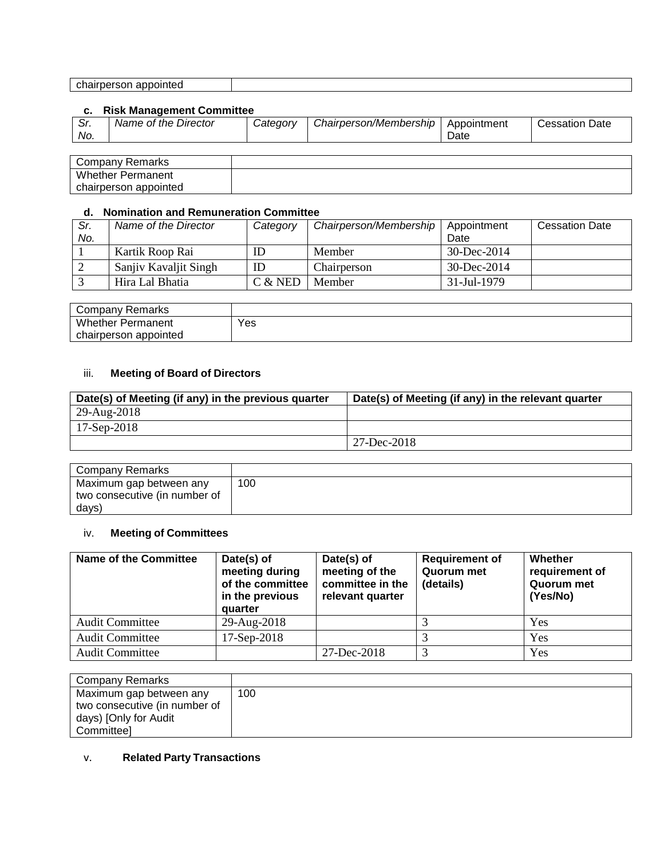| ---<br>----<br>^ŀ<br>- -<br>appointed <sup>,</sup><br>airnerson<br> |  |
|---------------------------------------------------------------------|--|
|---------------------------------------------------------------------|--|

#### **c. Risk Management Committee**

| Company Remarks          |  |
|--------------------------|--|
| <b>Whether Permanent</b> |  |
| chairperson appointed    |  |

#### **d. Nomination and Remuneration Committee**

| Sr. | Name of the Director  | Category  | Chairperson/Membership | Appointment       | <b>Cessation Date</b> |
|-----|-----------------------|-----------|------------------------|-------------------|-----------------------|
| No. |                       |           |                        | Date              |                       |
|     | Kartik Roop Rai       |           | Member                 | $30 - Dec - 2014$ |                       |
|     | Sanjiy Kavaljit Singh | ID        | Chairperson            | $30 - Dec - 2014$ |                       |
|     | Hira Lal Bhatia       | $C &$ NED | Member                 | 31-Jul-1979       |                       |

| <b>Company Remarks</b>   |     |
|--------------------------|-----|
| <b>Whether Permanent</b> | ∨es |
| chairperson appointed    |     |

#### iii. **Meeting of Board of Directors**

| Date(s) of Meeting (if any) in the previous quarter | Date(s) of Meeting (if any) in the relevant quarter |
|-----------------------------------------------------|-----------------------------------------------------|
| 29-Aug-2018                                         |                                                     |
| $17$ -Sep-2018                                      |                                                     |
|                                                     | $127 - Dec-2018$                                    |

| Company Remarks                                                   |     |
|-------------------------------------------------------------------|-----|
| Maximum gap between any<br>two consecutive (in number of<br>days) | 100 |

## iv. **Meeting of Committees**

| Name of the Committee  | Date(s) of<br>meeting during<br>of the committee<br>in the previous<br>quarter | Date(s) of<br>meeting of the<br>committee in the<br>relevant quarter | <b>Requirement of</b><br>Quorum met<br>(details) | Whether<br>requirement of<br>Quorum met<br>(Yes/No) |
|------------------------|--------------------------------------------------------------------------------|----------------------------------------------------------------------|--------------------------------------------------|-----------------------------------------------------|
| <b>Audit Committee</b> | 29-Aug-2018                                                                    |                                                                      |                                                  | Yes                                                 |
| <b>Audit Committee</b> | 17-Sep-2018                                                                    |                                                                      |                                                  | Yes                                                 |
| <b>Audit Committee</b> |                                                                                | 27-Dec-2018                                                          |                                                  | Yes                                                 |

| Company Remarks               |     |
|-------------------------------|-----|
| Maximum gap between any       | 100 |
| two consecutive (in number of |     |
| days) [Only for Audit         |     |
| Committeel                    |     |

#### v. **Related Party Transactions**